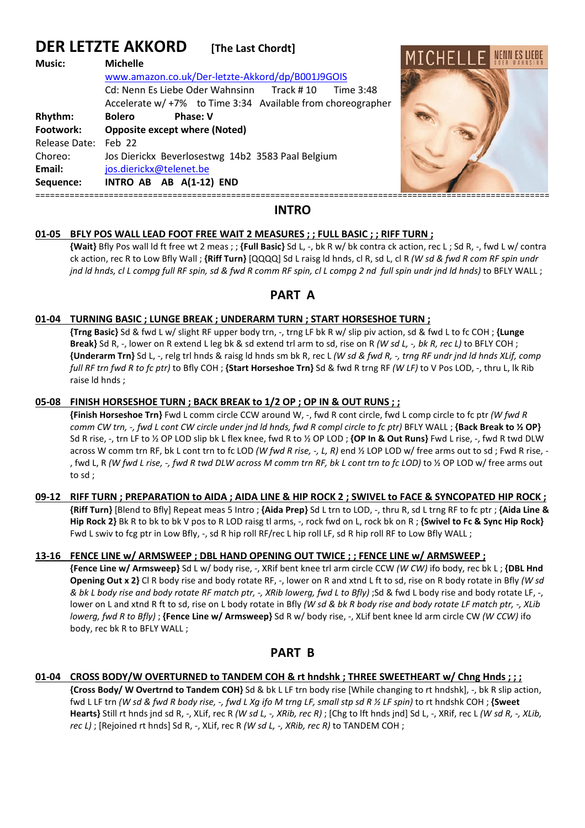# **DER LETZTE AKKORD [The Last Chordt]**

| <b>Music:</b>        | <b>Michelle</b><br>www.amazon.co.uk/Der-letzte-Akkord/dp/B001J9GOIS                                                   | MILHELIF. |
|----------------------|-----------------------------------------------------------------------------------------------------------------------|-----------|
|                      | Cd: Nenn Es Liebe Oder Wahnsinn Track #10<br>Time 3:48<br>Accelerate w/ +7% to Time 3:34 Available from choreographer |           |
| Rhythm:              | <b>Bolero</b><br><b>Phase: V</b>                                                                                      |           |
| Footwork:            | <b>Opposite except where (Noted)</b>                                                                                  |           |
| Release Date: Feb 22 |                                                                                                                       |           |
| Choreo:              | Jos Dierickx Beverlosestwg 14b2 3583 Paal Belgium                                                                     |           |
| Email:               | jos.dierickx@telenet.be                                                                                               |           |
| Sequence:            | INTRO AB AB A(1-12) END                                                                                               |           |
|                      |                                                                                                                       |           |

 $\mathbf{u} \cdot \mathbf{v}$ 

### **INTRO**

### **01-05 BFLY POS WALL LEAD FOOT FREE WAIT 2 MEASURES ; ; FULL BASIC ; ; RIFF TURN ;**

**{Wait}** Bfly Pos wall ld ft free wt 2 meas ; ; **{Full Basic}** Sd L, -, bk R w/ bk contra ck action, rec L ; Sd R, -, fwd L w/ contra ck action, rec R to Low Bfly Wall ; **{Riff Turn}** [QQQQ] Sd L raisg ld hnds, cl R, sd L, cl R *(W sd & fwd R com RF spin undr jnd ld hnds, cl L compg full RF spin, sd & fwd R comm RF spin, cl L compg 2 nd full spin undr jnd ld hnds)* to BFLY WALL ;

## **PART A**

### **01-04 TURNING BASIC ; LUNGE BREAK ; UNDERARM TURN ; START HORSESHOE TURN ;**

**{Trng Basic}** Sd & fwd L w/ slight RF upper body trn, -, trng LF bk R w/ slip piv action, sd & fwd L to fc COH ; **{Lunge Break}** Sd R, -, lower on R extend L leg bk & sd extend trl arm to sd, rise on R *(W sd L, -, bk R, rec L)* to BFLY COH ; **{Underarm Trn}** Sd L, -, relg trl hnds & raisg ld hnds sm bk R, rec L *(W sd & fwd R, -, trng RF undr jnd ld hnds XLif, comp full RF trn fwd R to fc ptr)* to Bfly COH ; **{Start Horseshoe Trn}** Sd & fwd R trng RF *(W LF)* to V Pos LOD, -, thru L, lk Rib raise ld hnds ;

### **05-08 FINISH HORSESHOE TURN ; BACK BREAK to 1/2 OP ; OP IN & OUT RUNS ; ;**

**{Finish Horseshoe Trn}** Fwd L comm circle CCW around W, -, fwd R cont circle, fwd L comp circle to fc ptr *(W fwd R comm CW trn, -, fwd L cont CW circle under jnd ld hnds, fwd R compl circle to fc ptr)* BFLY WALL ; **{Back Break to ½ OP}**  Sd R rise, -, trn LF to ½ OP LOD slip bk L flex knee, fwd R to ½ OP LOD ; **{OP In & Out Runs}** Fwd L rise, -, fwd R twd DLW across W comm trn RF, bk L cont trn to fc LOD *(W fwd R rise, -, L, R)* end ½ LOP LOD w/ free arms out to sd ; Fwd R rise, - , fwd L, R *(W fwd L rise, -, fwd R twd DLW across M comm trn RF, bk L cont trn to fc LOD)* to ½ OP LOD w/ free arms out to sd ;

### **09-12 RIFF TURN ; PREPARATION to AIDA ; AIDA LINE & HIP ROCK 2 ; SWIVEL to FACE & SYNCOPATED HIP ROCK ;**

**{Riff Turn}** [Blend to Bfly] Repeat meas 5 Intro ; **{Aida Prep}** Sd L trn to LOD, -, thru R, sd L trng RF to fc ptr ; **{Aida Line & Hip Rock 2}** Bk R to bk to bk V pos to R LOD raisg tl arms, -, rock fwd on L, rock bk on R ; **{Swivel to Fc & Sync Hip Rock}**  Fwd L swiv to fcg ptr in Low Bfly, -, sd R hip roll RF/rec L hip roll LF, sd R hip roll RF to Low Bfly WALL ;

### **13-16 FENCE LINE w/ ARMSWEEP ; DBL HAND OPENING OUT TWICE ; ; FENCE LINE w/ ARMSWEEP ;**

**{Fence Line w/ Armsweep}** Sd L w/ body rise, -, XRif bent knee trl arm circle CCW *(W CW)* ifo body, rec bk L ; **{DBL Hnd Opening Out x 2}** Cl R body rise and body rotate RF, -, lower on R and xtnd L ft to sd, rise on R body rotate in Bfly *(W sd & bk L body rise and body rotate RF match ptr, -, XRib lowerg, fwd L to Bfly)* ;Sd & fwd L body rise and body rotate LF, -, lower on L and xtnd R ft to sd, rise on L body rotate in Bfly *(W sd & bk R body rise and body rotate LF match ptr, -, XLib lowerg, fwd R to Bfly)* ; **{Fence Line w/ Armsweep}** Sd R w/ body rise, -, XLif bent knee ld arm circle CW *(W CCW)* ifo body, rec bk R to BFLY WALL ;

### **PART B**

### **01-04 CROSS BODY/W OVERTURNED to TANDEM COH & rt hndshk ; THREE SWEETHEART w/ Chng Hnds ; ; ;**

**{Cross Body/ W Overtrnd to Tandem COH}** Sd & bk L LF trn body rise [While changing to rt hndshk], -, bk R slip action, fwd L LF trn *(W sd & fwd R body rise, -, fwd L Xg ifo M trng LF, small stp sd R ½ LF spin)* to rt hndshk COH ; **{Sweet Hearts}** Still rt hnds jnd sd R, -, XLif, rec R *(W sd L, -, XRib, rec R)* ; [Chg to lft hnds jnd] Sd L, -, XRif, rec L *(W sd R, -, XLib, rec L)* ; [Rejoined rt hnds] Sd R, -, XLif, rec R *(W sd L, -, XRib, rec R)* to TANDEM COH ;